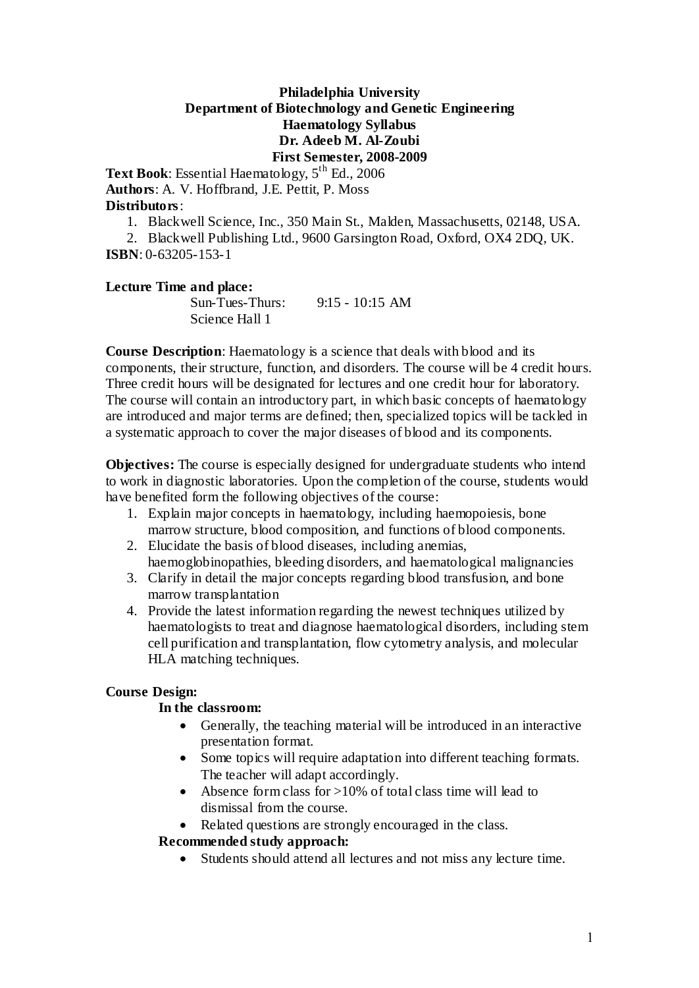## **Philadelphia University Department of Biotechnology and Genetic Engineering Haematology Syllabus Dr. Adeeb M. Al-Zoubi First Semester, 2008-2009**

Text Book: Essential Haematology, 5<sup>th</sup> Ed., 2006 **Authors**: A. V. Hoffbrand, J.E. Pettit, P. Moss **Distributors**:

1. Blackwell Science, Inc., 350 Main St., Malden, Massachusetts, 02148, USA.

2. Blackwell Publishing Ltd., 9600 Garsington Road, Oxford, OX4 2DQ, UK. **ISBN**: 0-63205-153-1

#### **Lecture Time and place:** Sun-Tues-Thurs: 9:15 - 10:15 AM Science Hall 1

**Course Description**: Haematology is a science that deals with blood and its components, their structure, function, and disorders. The course will be 4 credit hours. Three credit hours will be designated for lectures and one credit hour for laboratory. The course will contain an introductory part, in which basic concepts of haematology are introduced and major terms are defined; then, specialized topics will be tackled in a systematic approach to cover the major diseases of blood and its components.

**Objectives:** The course is especially designed for undergraduate students who intend to work in diagnostic laboratories. Upon the completion of the course, students would have benefited form the following objectives of the course:

- 1. Explain major concepts in haematology, including haemopoiesis, bone marrow structure, blood composition, and functions of blood components.
- 2. Elucidate the basis of blood diseases, including anemias, haemoglobinopathies, bleeding disorders, and haematological malignancies
- 3. Clarify in detail the major concepts regarding blood transfusion, and bone marrow transplantation
- 4. Provide the latest information regarding the newest techniques utilized by haematologists to treat and diagnose haematological disorders, including stem cell purification and transplantation, flow cytometry analysis, and molecular HLA matching techniques.

# **Course Design:**

## **In the classroom:**

- Generally, the teaching material will be introduced in an interactive presentation format.
- Some topics will require adaptation into different teaching formats. The teacher will adapt accordingly.
- Absence form class for  $>10\%$  of total class time will lead to dismissal from the course.
- Related questions are strongly encouraged in the class.

# **Recommended study approach:**

Students should attend all lectures and not miss any lecture time.